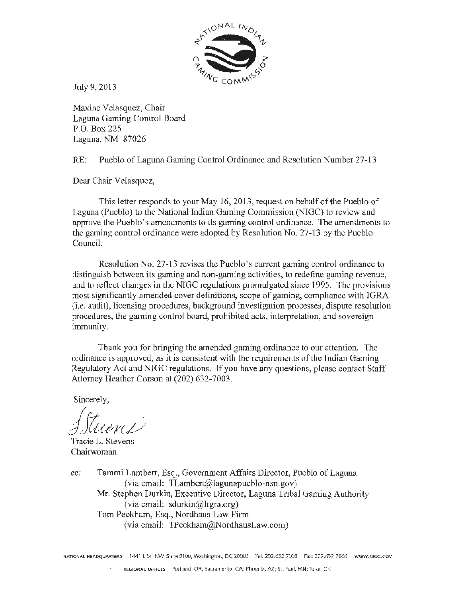

July 9, 2013

Maxine Velasquez, Chair Laguna Gaming Control Board P.O. Box 225 Laguna, NM 87026

RE: Pueblo of Laguna Gaming Control Ordinance and Resolution Number 27-13

Dear Chair Velasquez,

This letter responds to your May 16, 2013, request on behalf of the Pueblo of Laguna (Pueblo) to the National Indian Gaming Commission (NIGC) to review and approve the Pueblo's amendments to its gaming control ordinance. The amendments to the gaming control ordinance were adopted by Resolution No. 27-13 by the Pueblo Council.

Resolution No. 27-13 revises the Pueblo's current gaming control ordinance to distinguish between its gaming and non-gaming activities, to redefine gaming revenue, and to reflect changes in the NIGC regulations promulgated since 1995. The provisions most significantly amended cover definitions, scope of gaming, compliance with lGRA (*i.e.* audit), licensing procedures, background investigation processes, dispute resolution procedures, the gaming control board, prohibited acts, interpretation, and sovereign immunity.

Thank you for bringing the amended gaming ordinance to om attention. The ordinance is approved, as it is consistent with the requirements of the Indian Gaming Regulatory Act and NIGC regulations. If you have any questions, please contact Staff Attorney Heather Corson at (202) 632-7003.

Sincerely,

*/Jtu/l1P* 

Tracie L. Stevens Chairwoman

cc: Tammi Lambert, Esq., Government Affairs Director, Pueblo of Laguna (via email: TLambert@lagunapueblo-nsn.gov) Mr. Stephen Durkin, Executive Director, Laguna Tribal Gaming Authority (via email: sdurkin@Itgra.org) Tom Peckham, Esq., Nordhaus Law Firm (via email: TPeckham@NordhausLaw.com)

NATIONAL HEADQUARTERS 1441 L St. NW, Suite 9100, Washington, DC 20005 Tel: 202.632.7003 Fax: 207.632.7066 WWW.NIGC.GOV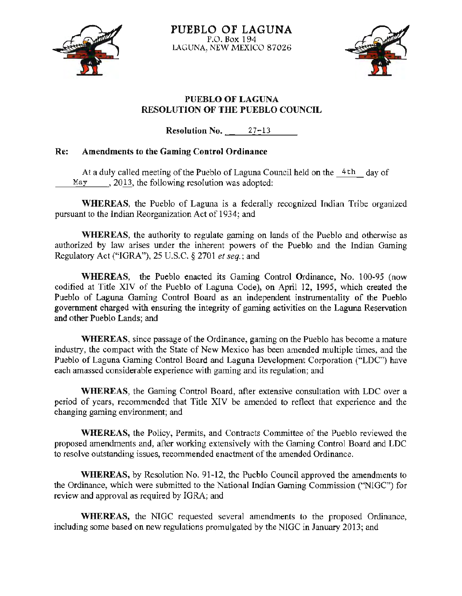



# PUEBLO OF LAGUNA RESOLUTION OF THE PUEBLO COUNCIL

 $Resolution No. 27-13$ 

# Re: Amendments to the Gaming Control Ordinance

At a duly called meeting of the Pueblo of Laguna Council held on the  $4th$  day of May  $\ldots$ , 2013, the following resolution was adopted:

WHEREAS, the Pueblo of Laguna is a federally recognized Indian Tribe organized pursuant to the Indian Reorganization Act of 1 934; and

WHEREAS, the authority to regulate gaming on lands of the Pueblo and otherwise as authorized by law arises under the inherent powers of the Pueblo and the Indian Gaming Regulatory Act ("IGRA"), 25 U.S.C. *§* 2701 *et seq.;* and

WHEREAS, the Pueblo enacted its Gaming Control Ordinance, No. 100.95 (now codified at Title XIV of the Pueblo of Laguna Code), on April 12, 1995, which created the Pueblo of Laguna Gaming Control Board as an independent instrumentality of the Pueblo government charged with ensuring the integrity of gaming activities on the Laguna Reservation and other Pueblo Lands; and

WHEREAS, since passage of the Ordinance, gaming on the Pueblo has become a mature industry, the compact with the State of New Mexico has been amended multiple times, and the Pueblo of Laguna Gaming Control Board and Laguna Development Corporation ("LDC") have each amassed considerable experience with gaming and its regulation; and

WHEREAS, the Gaming Control Board, after extensive consultation with LDC over a period of years, recommended that Title XIV be amended to reflect that experience and the changing gaming environment; and

WHEREAS, the Policy, Permits, and Contracts Committee of the Pueblo reviewed the proposed amendments and, after working extensively with the Gaming Control Board and LDC to resolve outstanding issues, recommended enactment of the amended Ordinance.

WHEREAS, by Resolution No. 91-12, the Pueblo Council approved the amendments to the Ordinance, which were submitted to the National Indian Gaming Commission ("NIGC") for review and approval as required by IGRA; and

WHEREAS, the NIGC requested several amendments to the proposed Ordinance, including some based on new regulations promulgated by the NIGC in January 2013; and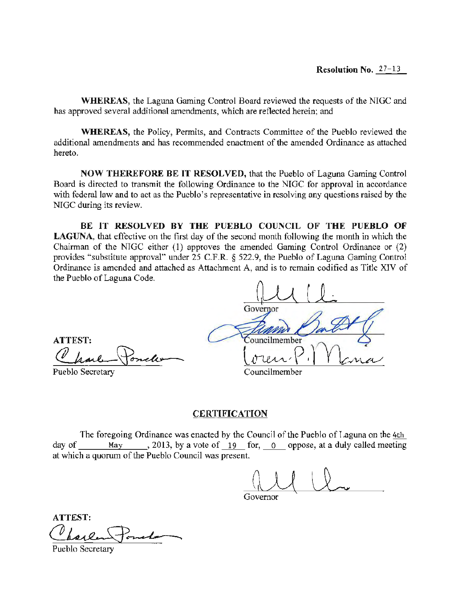WHEREAS, the Laguna Gaming Control Board reviewed the requests of the NIGC and has approved several additional amendments, which are reflected herein; and

WHEREAS, the Policy, Permits, and Contracts Committee of the Pueblo reviewed the additional amendments and has recommended enactment of the amended Ordinance as attached hereto.

NOW THEREFORE BE IT RESOLVED, that the Pueblo of Laguna Gaming Control Board is directed to transmit the following Ordinance to the NIGC for approval in accordance with federal law and to act as the Pueblo's representative in resolving any questions raised by the NIGC during its review.

BE IT RESOLVED BY THE PUEBLO COUNCIL OF THE PUEBLO OF LAGUNA, that effective on the first day of the second month following the month in which the Chairman of the NTGC either (1) approves the amended Gaming Control Ordinance or (2) provides "substitute approval" under 25 C.F.R. *§* 522.9, the Pueblo of Laguna Gaming Control Ordinance is amended and attached as Attachment A, and is to remain codified as Title XIV of the Pueblo of Laguna Code.

Governor ATTEST:<br>Charle Poncle<br>Pueblo Secretary ATTEST: 'ouncilmember Councilmember Pueblo Secretary

## **CERTIFICATION**

The foregoing Ordinance was enacted by the Council of the Pueblo of Laguna on the 4th day of May , 2013, by a vote of 19 for, 0 oppose, at a duly called meeting at which a quorum of the Pueblo Council was present.

Governor

ATTEST: ATTEST:

Pueblo Secretary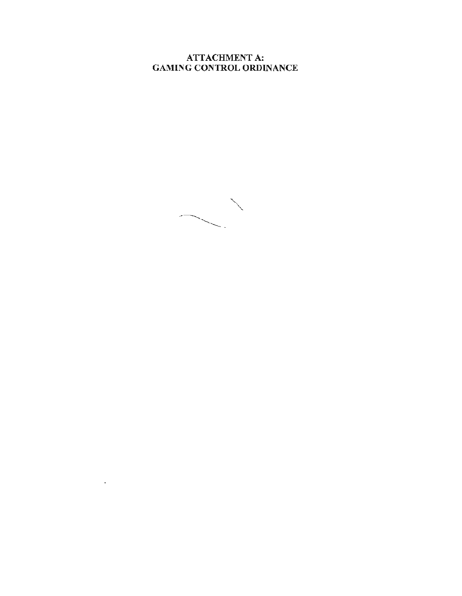ATTACHMENT A: GAMING CONTROL ORDINANCE



 $\cdot$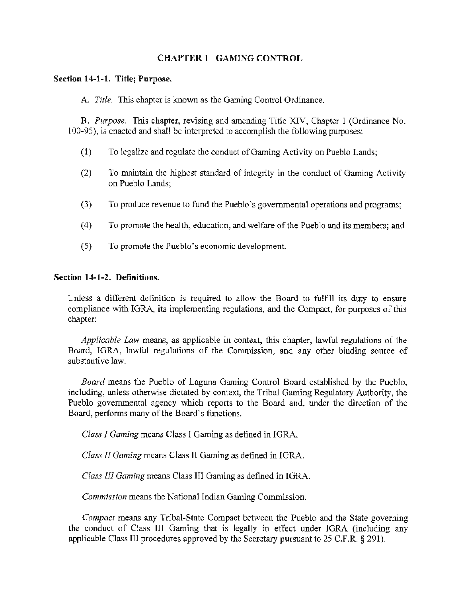# CHAPTER 1 GAMING CONTROL

## Section 14-1-1. Title; Purpose.

A. *Title.* This chapter is known as the Gaming Control Ordinance.

B. *Purpose.* This chapter, revising and amending Tide XIV, Chapter 1 (Ordinance No. 100-95), is enacted and shall be interpreted to accomplish the following purposes:

- (1) To legalize and regulate the conduct of Gaming Activity on Pueblo Lands;
- (2) To maintain the highest standard of integrity in the conduct of Gaming Activity on Pueblo Lands;
- (3) To produce revenue to fund the Pueblo's governmental operations and programs;
- (4) To promote the health, education, and welfare of the Pueblo and its members; and
- (5) To promote the Pueblo's economic development.

#### Section 14-1-2. Definitions.

Unless a different definition is required to allow the Board to fulfill its duty to ensure compliance with IGRA, its implementing regulations, and the Compact, for purposes of this chapter:

*Applicable Law* means, as applicable in context, this chapter, lawful regulations of the Board, IGRA, lawful regulations of the Commission, and any other binding source of substantive law.

*Board* means the Pueblo of Laguna Gaming Control Board established by the Pueblo, including, unless otherwise dictated by context, the Tribal Gaming Regulatory Authority, the Pueblo governmental agency which reports to the Board and, under the direction of the Board, performs many of the Board's functions.

*Class I Gaming* means Class I Gaming as defined in IGRA.

*Class* II *Gaming* means Class II Gaming as defined in IGRA.

*Class III Gaming* means Class III Gaming as defined in IGRA.

*Commission* means the National Indian Gaming Commission.

*Compact* means any Tribal-State Compact between the Pueblo and the State governing the conduct of Class III Gaming that is legally in effect under IGRA (including any applicable Class III procedures approved by the Secretary pursuant to 25 C.F .R. § 291 ).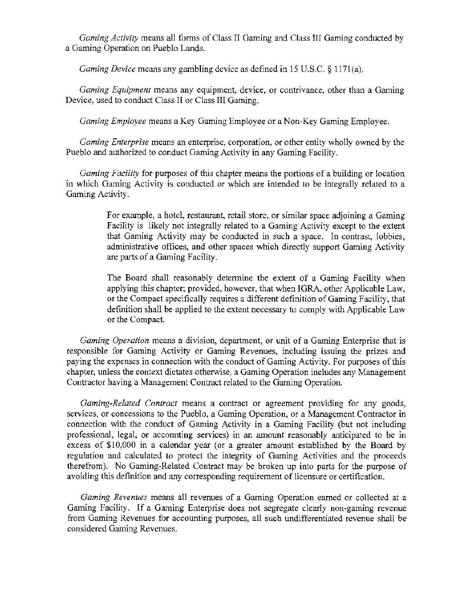*Gaming Activity* means all forms of Class II Gaming and Class HI Gaming conducted by a Gaming Operation on Pueblo Lands.

*Gaming Device* means any gambling device as defined in 15 U.S.C. § 1171(a).

*Gaming Equipment* means any equipment, device, or contrivance, other than a Gaming Device, used to conduct Class II or Class III Gaming.

*Gaming Employee* means a Key Gaming Employee or a Non-Key Gaming Employee.

*Gaming Enterprise* means an enterprise, corporation, or other entity wholly owned by the Pueblo and authorized to conduct Gaming Activity in any Gaming Facility.

*Gaming Facility* for purposes of this chapter means the portions of a building or location in which Gaming Activity is conducted or which are intended to be integrally related to a Gaming Activity.

> For example, a hotel, restaurant, retail store, or similar space adjoining a Gaming Facility is likely not integrally related to a Gaming Activity except to the extent that Gaming Activity may be conducted in such a space. In contrast, lobbies, administrative offices, and other spaces which directly support Gaming Activity are parts of a Gaming Facility.

> The Board shall reasonably determine the extent of a Gaming Facility when applying this chapter; provided, however, that when IGRA, other Applicable Law, or the Compact specifically requires a different definition of Gaming Facility, that definition shall be applied to the extent necessary to comply with Applicable Law or the Compact.

*Gaming Operation* means a division, department, or unit of a Gaming Enterprise that is responsible for Gaming Activity or Gaming Revenues, including issuing the prizes and paying the expenses in connection with the conduct of Gaming Activity. For purposes of this chapter, unless the context dictates otherwise, a Gaming Operation includes any Management Contractor having a Management Contract related to the Gaming Operation.

*Gaming-Related Contract* means a contract or agreement providing for any goods, services, or concessions to the Pueblo, a Gaming Operation, or a Management Contractor in connection with the conduct of Gaming Activity in a Gaming Facility (but not including professional, legal, or accounting services) in an amount reasonably anticipated to be in excess of \$10,000 in a calendar year (or a greater amount established by the Board by regulation and calculated to protect the integrity of Gaming Activities and the proceeds therefrom). No Gaming-Related Contract may be broken up into parts for the purpose of avoiding this definition and any corresponding requirement of licensure or certification.

*Gaming Revenues* means all revenues of a Gaming Operation earned or collected at a Gaming Facility. If a Gaming Enterprise does not segregate clearly non~gaming revenue from Gaming Revenues for accounting purposes, all such undifferentiated revenue shall be considered Gaming Revenues.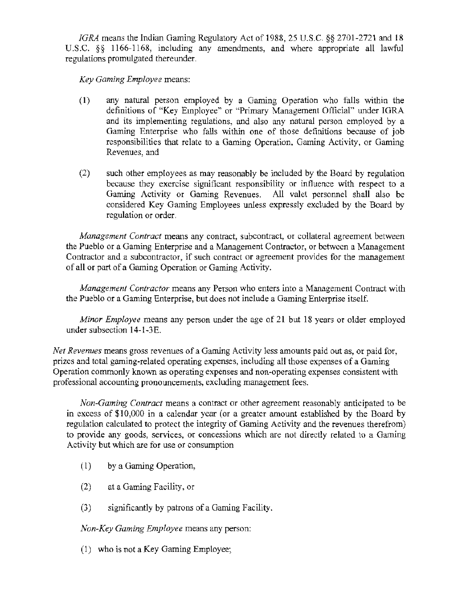*IGRA* means the Indian Gaming Regulatory Act of 1988, 25 U.S.C. *§§* 2701-2721and18 U.S.C. §§ 1166-1168, including any amendments, and where appropriate all lawful regulations promulgated thereunder.

*Key Gaming Employee* means:

- (1) any natural person employed by a Gaming Operation who falls within the definitions of "Key Employee" or "Primary Management Official" under IGRA and its implementing regulations, and also any natural person employed by a Gaming Enterprise who falls within one of those definitions because of job responsibilities that relate to a Gaming Operation, Gaming Activity, or Gaming Revenues, and
- (2) such other employees as may reasonably be included by the Board by regulation because they exercise significant responsibility or influence with respect to a Gaming Activity or Gaming Revenues. All valet personnel shall also be considered Key Gaming Employees unless expressly excluded by the Board by regulation or order.

*Management Contract* means any contract, subcontract, or collateral agreement between the Pueblo or a Gaming Enterprise and a Management Contractor, or between a Management Contractor and a subcontractor, if such contract or agreement provides for the management of all or part of a Gaming Operation or Gaming Activity.

*Management Contractor* means any Person who enters into a Management Contract with the Pueblo or a Gaming Enterprise, but does not include a Gaming Enterprise itself.

*Minor Employee* means any person under the age of 21 but 18 years or older employed under subsection 14-l-3E.

*Net Revenues* means gross revenues of a Gaming Activity less amounts paid out as, or paid for, prizes and total gaming-related operating expenses, including all those expenses of a Gaming Operation conunonly known as operating expenses and non·operating expenses consistent with professional accounting pronouncements, excluding management fees.

*Non-Gaming Contract* means a contract or other agreement reasonably anticipated to be in excess of \$10,000 in a calendar year (or a greater amount established by the Board by regulation calculated to protect the integrity of Gaming Activity and the revenues therefrom) to provide any goods, services, or concessions which are not directly related to a Gaming Activity but which are for use or consumption

- $(1)$  by a Gaming Operation,
- (2) at a Gaming Facility, or
- $(3)$  significantly by patrons of a Gaming Facility.

*Non-Key Gaming Employee* means any person:

(1) who is not a Key Gaming Employee;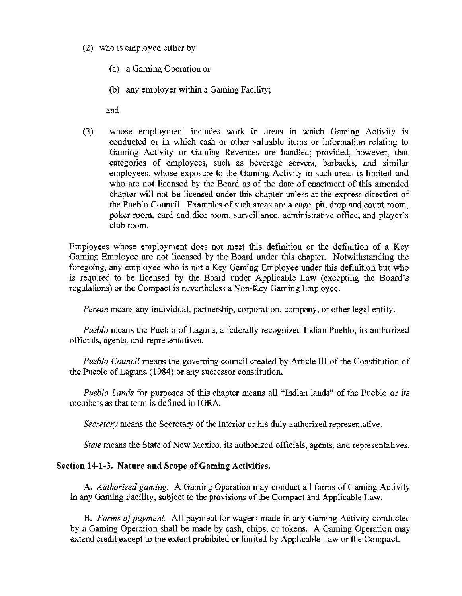## (2) who is employed either by

- (a) a Gaming Operation or
- (b) any employer within a Gaming Facility;

and

(3) whose employment includes work in areas in which Gaming Activity is conducted or in which cash or other valuable items or information relating to Gaming Activity or Gaming Revenues are handled; provided, however, that categories of employees, such as beverage servers, barbacks, and similar employees, whose exposure to the Gaming Activity in such areas is limited and who are not licensed by the Board as of the date of enactment of this amended chapter will not be licensed under this chapter unless at the express direction of the Pueblo Council. Examples of such areas are a cage, pit, drop and count room, poker room, card and dice room, surveillance, administrative office, and player's club room.

Employees whose employment does not meet this definition or the definition of a Key Gaming Employee are not licensed by the Board under this chapter. Notwithstanding the foregoing, any employee who is not a Key Gaming Employee under this definition but who is required to be licensed by the Board under Applicable Law (excepting the Board's regulations) or the Compact is nevertheless a Non-Key Gaming Employee.

*Person* means any individual, partnership, corporation, company, or other legal entity.

*Pueblo* means the Pueblo of Laguna, a federally recognized Indian Pueblo, its authorized officials, agents, and representatives.

*Pueblo Council* means the governing council created by Article Ill of the Constitution of the Pueblo of Laguna (1984) or any successor constitution.

*Pueblo Lands* for purposes of this chapter means all "Indian lands" of the Pueblo or its members as that term is defined in IGRA.

*Secretary* means the Secretary of the Interior or his duly authorized representative.

*State* means the State of New Mexico, its authorized officials, agents, and representatives.

#### Section 14-1-3. Nature and Scope of Gaming Activities.

A. *Authorized gaming.* A Gaming Operation may conduct all forms of Gaming Activity in any Gaming Facility, subject to the provisions of the Compact and Applicable Law.

B. *Forms of payment.* All payment for wagers made in any Gaming Activity conducted by a Gaming Operation shall be made by cash, chips, or tokens. A Gaming Operation may extend credit except to the extent prohibited or limited by Applicable Law or the Compact.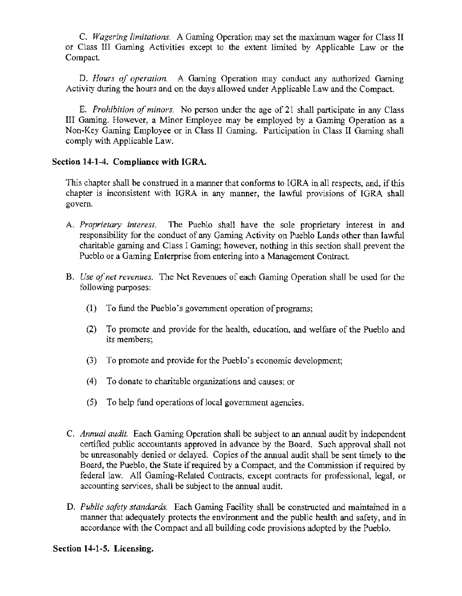C. *Wagering limitations.* A Gaming Operation may set the maximum wager for Class II or Class III Gaming Activities except to the extent limited by Applicable Law or the Compact.

D. *Hours of operation.* A Gaming Operation may conduct any authorized Gaming Activity during the hours and on the days allowed under Applicable Law and the Compact.

E. *Prohibition of minors.* No person under the age of 21 shall participate in any Class III Gaming. However, a Minor Employee may be employed by a Gaming Operation as a Non-Key Gaming Employee or in Class II Gaming. Participation in Class II Gaming shall comply with Applicable Law.

# Section **14-1-4.** Compliance **with** IGRA.

This chapter shall be construed in a manner that conforms to IGRA in all respects, and, if this chapter is inconsistent with IGRA in any manner, the lawful provisions of IGRA shall govern.

- A. *Proprietary interest*. The Pueblo shall have the sole proprietary interest in and responsibility for the conduct of any Gaming Activity on Pueblo Lands other than lawful charitable gaming and Class I Gaming; however, nothing in this section shall prevent the Pueblo or a Gaming Enterprise from entering into a Management Contract.
- B. *Use of net revenues.* The Net Revenues of each Gaming Operation shall be used for the following purposes:
	- (1) To fund the Pueblo's government operation of programs;
	- (2) To promote and provide for the health, education, and welfare of the Pueblo and its members;
	- (3) To promote and provide for the Pueblo's economic development;
	- ( 4) To donate to charitable organizations and causes; or
	- (5) To help fund operations of local government agencies.
- C. *Annual audit.* Each Gaming Operation shall be subject to an annual audit by independent certified public accountants approved in advance by the Board. Such approval shall not be unreasonably denied or delayed. Copies of the annual audit shall be sent timely to the Board, the Pueblo, the State if required by a Compact, and the Commission if required by federal law. All Gaming-Related Contracts, except contracts for professional, legal, or accounting services, shall be subject to the annual audit.
- D. *Public safety standards.* Each Gaming Facility shall be constructed and maintained in a manner that adequately protects the environment and the public health and safety, and in accordance with the Compact and all building code provisions adopted by the Pueblo.

#### Section 14~1-5. Licensing.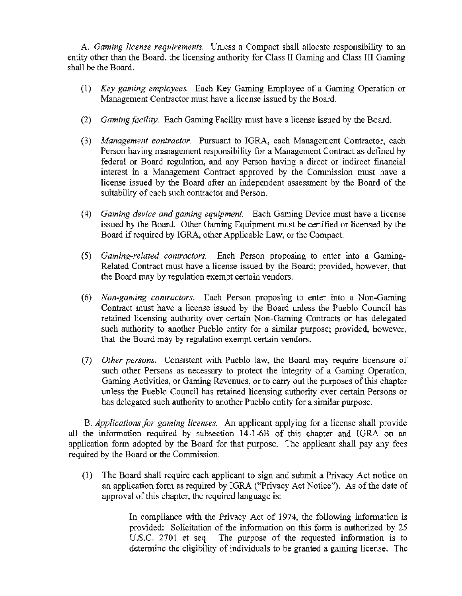A. *Gaming license requirements.* Unless a Compact shall allocate responsibility to an entity other than the Board, the licensing authority for Class II Gaming and Class III Gaming shall be the Board.

- (1) *Key gaming employees.* Each Key Gaming Employee of a Gaming Operation or Management Contractor must have a license issued by the Board.
- (2) *Gamingfacility.* Each Gaming Facility must have a license issued by the Board.
- (3) *Management contractor.* Pursuant to IGRA, each Management Contractor, each Person having management responsibility for a Management Contract as defined by federal or Board regulation, and any Person having a direct or indirect financial interest in a Management Contract approved by the Commission must have a license issued by the Board after an independent assessment by the Board of the suitability of each such contractor and Person.
- ( 4) *Gaming device and gaming equipment.* Each Gaming Device must have a license issued by the Board. Other Gaming Equipment must be certified or licensed by the Board if required by IGRA, other Applicable Law, or the Compact.
- (5) *Gaming-related contractors.* Each Person proposing to enter into a Gaming-Related Contract must have a license issued by the Board; provided, however, that the Board may by regulation exempt certain vendors.
- (6) *Non-gaming contractors.* Each Person proposing to enter into a Non-Gaming Contract must have a license issued by the Board unless the Pueblo Council has retained licensing authority over certain Non-Gaming Contracts or has delegated such authority to another Pueblo entity for a similar purpose; provided, however, that the Board may by regulation exempt certain vendors.
- (7) *Other persons.* Consistent with Pueblo law, the Board may require licensure of such other Persons as necessary to protect the integrity of a Gaming Operation, Gaming Activities, or Gaming Revenues, or to carry out the purposes of this chapter unless the Pueblo Council has retained licensing authority over certain Persons or has delegated such authority to another Pueblo entity for a similar purpose.

B. *Applications for gaming licenses.* An applicant applying for a license shall provide all the information required by subsection 14·1-68 of this chapter and IGRA on an application form adopted by the Board for that purpose. The applicant shall pay any fees required by the Board or the Commission.

(l) The Board shall require each applicant to sign and submit a Privacy Act notice on an application form as required by IGRA ("Privacy Act Notice'). As of the date of approval of this chapter, the required language is:

> In compliance with the Privacy Act of 1974, the following information is provided: Solicitation of the information on this form is authorized by 25 U.S.C. 2701 et seq. The purpose of the requested information is to determine the eligibility of individuals to be granted a gaming license. The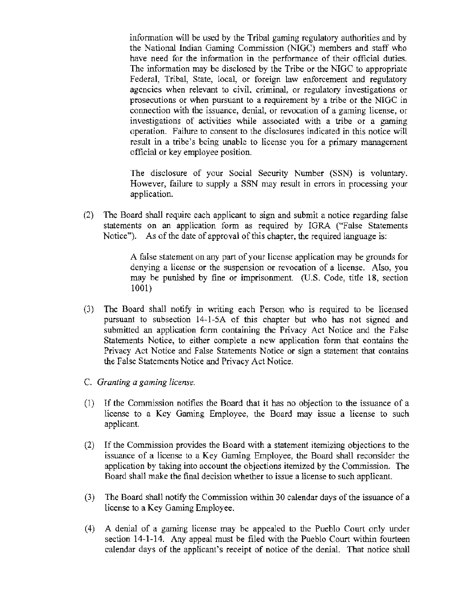information will be used by the Tribal gaming regulatory authorities and by the National Indian Gaming Commission (NIGC) members and staff who have need for the information in the performance of their official duties. The information may be disclosed by the Tribe or the NIGC to appropriate Federal, Tribal, State, local, or foreign law enforcement and regulatory agencies when relevant to civil, criminal, or regulatory investigations or prosecutions or when pursuant to a requirement by a tribe or the NIGC in connection with the issuance, denial, or revocation of a gaming license, or investigations of activities while associated with a tribe or a gaming operation. Failure to consent to the disclosures indicated in this notice will result in a tribe's being unable to license you for a primary management official or key employee position.

The disclosure of your Social Security Number (SSN) is voluntary. However, failure to supply a SSN may result in errors in processing your application.

(2) The Board shall require each applicant to sign and submit a notice regarding false statements on an application form as required by IGRA ("False Statements Notice"). As of the date of approval of this chapter, the required language is:

> A false statement on any part of your license application may be grounds for denying a license or the suspension or revocation of a license. Also, you may be punished by fine or imprisonment. (U.S. Code, title 18, section 1001)

- (3) The Board shall notify in writing each Person who is required to be licensed pursuant to subsection 14-1-SA of this chapter but who has not signed and submitted an application form containing the Privacy Act Notice and the False Statements Notice, to either complete a new application form that contains the Privacy Act Notice and False Statements Notice or sign a statement that contains the False Statements Notice and Privacy Act Notice.
- C. *Granting a gaming license.*
- (1) If the Commission notifies the Board that it has no objection to the issuance of a license to a Key Gaming Employee, the Board may issue a license to such applicant.
- (2) If the Commission provides the Board with a statement itemizing objections to the issuance of a license to a Key Gaming Employee, the Board shall reconsider the application by taking into account the objections itemized by the Commission. The Board shall make the final decision whether to issue a license to such applicant.
- (3) The Board shall notify the Commission within 30 calendar days of the issuance of a license to a Key Gaming Employee.
- (4) A denial of a gaming license may be appealed to the Pueblo Court only under section 14-1-14. Any appeal must be filed with the Pueblo Court within fourteen calendar days of the applicant's receipt of notice of the denial. That notice shall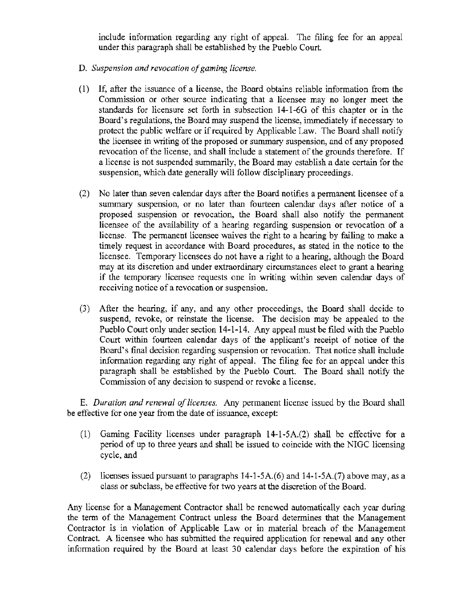include information regarding any right of appeal. The filing fee for an appeal under this paragraph shall be established by the Pueblo Court.

- D. *Suspension and revocation of gaming license.*
- (1) If, after the issuance of a license, the Board obtains reliable information from the Commission or other source indicating that a licensee may no longer meet the standards for licensure set forth in subsection 14-1-60 of this chapter or in the Board's regulations, the Board may suspend the license, immediately if necessary to protect the public welfare or if required by Applicable Law. The Board shall notify the licensee in writing of the proposed or summary suspension, and of any proposed revocation of the license, and shall include a statement of the grounds therefore. If a license is not suspended summarily, the Board may establish a date certain for the suspension, which date generally will follow disciplinary proceedings.
- (2) No later than seven calendar days after the Board notifies a pennanent licensee of a summary suspension, or no later than fourteen calendar days after notice of a proposed suspension or revocation, the Board shall also notify the permanent licensee of the availability of a hearing regarding suspension or revocation of a license. The permanent licensee waives the right to a hearing by failing to make a timely request in accordance with Board procedures, as stated in the notice to the licensee. Temporary licensees do not have a right to a hearing, although the Board may at its discretion and under extraordinary circumstances elect to grant a hearing if the temporary licensee requests one in writing within seven calendar days of receiving notice of a revocation or suspension.
- (3) After the hearing, if any, and any other proceedings, the Board shall decide to suspend, revoke, or reinstate the license. The decision may be appealed to the Pueblo Court only under section 14-1-14. Any appeal must be filed with the Pueblo Court within fourteen calendar days of the applicant's receipt of notice of the Board's final decision regarding suspension or revocation. That notice shall include information regarding any right of appeal. The filing fee for an appeal under this paragraph shall be established by the Pueblo Court. The Board shall notify the Commission of any decision to suspend or revoke a license.

E. *Duration and renewal of licenses.* Any permanent license issued by the Board shall be effective for one year from the date of issuance, except:

- (1) Gaming Facility licenses under paragraph 14-l-5A.(2) shall be effective for a period of up to three years and shall be issued to coincide with the NIGC licensing cycle, and
- (2) licenses issued pursuant to paragraphs 14-1-5A.(6) and 14-1-SA.(7) above may, as a class or subclass, be effective for two years at the discretion of the Board.

Any license for a Management Contractor shall be renewed automatically each year during the term of the Management Contract unless the Board determines that the Management Contractor is in violation of Applicable Law or in material breach of the Management Contract. A licensee who has submitted the required application for renewal and any other information required by the Board at least 30 calendar days before the expiration of his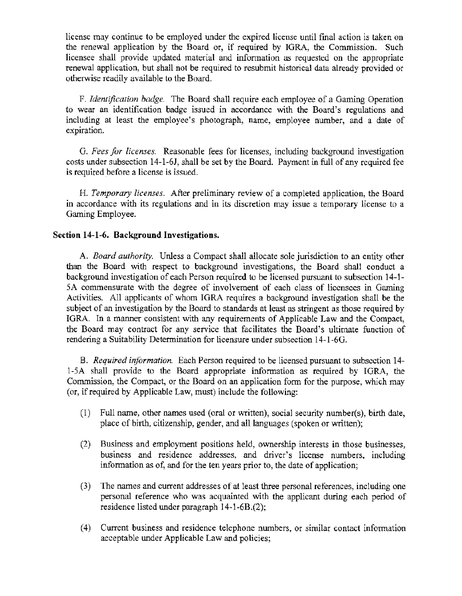license may continue to be employed under the expired license until final action is taken on the renewal application by the Board or, if required by IGRA, the Commission. Such licensee shall provide updated material and information as requested on the appropriate renewal application, but shall not be required to resubmit historical data already provided or otherwise readily available to the Board.

F. *Identification badge.* The Board shall require each employee of a Gaming Operation to wear an identification badge issued in accordance with the Board's regulations and including at least the employee's photograph, name, employee number, and a date of expiration.

G. *Fees for licenses.* Reasonable fees for licenses, including background investigation costs under subsection 14-1-6J, shall be set by the Board. Payment in full of any required fee is required before a license is issued.

H. *Temporary licenses.* After preliminary review of a completed application, the Board in accordance with its regulations and in its discretion may issue a temporary license to a Gaming Employee.

## Section 14-1-6. Background Investigations.

A. *Board authority.* Unless a Compact shall allocate sole jurisdiction to an entity other than the Board with respect to background investigations, the Board shall conduct a background investigation of each Person required to be licensed pursuant to subsection 14-1-5A commensurate with the degree of involvement of each class of licensees in Gaming Activities. All applicants of whom IGRA requires a background investigation shall be the subject of an investigation by the Board to standards at least as stringent as those required by IGRA. In a manner consistent with any requirements of Applicable Law and the Compact, the Board may contract for any service that facilitates the Board's ultimate function of rendering a Suitability Determination for licensure under subsection 14-l-6G.

B. *Required information.* Each Person required to be licensed pursuant to subsection 14- 1-SA shall provide to the Board appropriate information as required by IGRA, the Commission, the Compact, or the Board on an application fonn for the purpose, which may (or, if required by Applicable Law, must) include the following:

- (1) Full name, other names used (oral or written), social security number(s), birth date, place of birth, citizenship, gender, and all languages (spoken or written);
- (2) Business and employment positions held, ownership interests in those businesses, business and residence addresses, and driver's license numbers, including information as of, and for the ten years prior to, the date of application;
- (3) The names and current addresses of at least three personal references, including one personal reference who was acquainted with the applicant during each period of residence listed under paragraph 14·1-6B.(2);
- (4) Current business and residence telephone numbers, or similar contact information acceptable under Applicable Law and policies;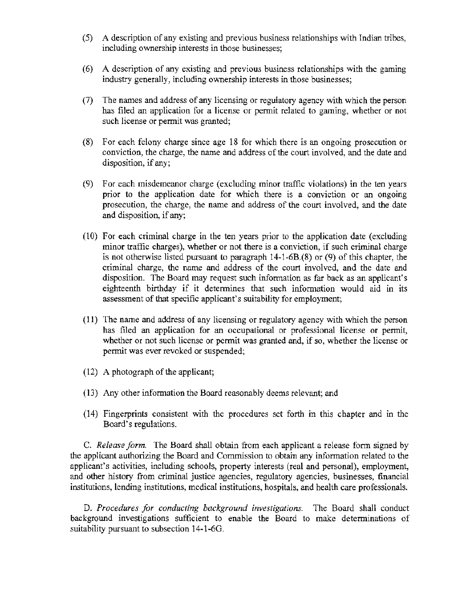- (5) A description of any existing and previous business relationships with Indian tribes, including ownership interests in those businesses;
- (6) A description of any existing and previous business relationships with the gaming industry generally, including ownership interests in those businesses;
- (7) The names and address of any licensing or regulatory agency with which the person has filed an application for a license or permit related to gaming, whether or not such license or permit was granted;
- (8) For each felony charge since age 18 for which there is an ongoing prosecution or conviction, the charge, the name and address of the court involved, and the date and disposition, if any;
- (9) For each misdemeanor charge (excluding minor traffic violations) in the ten years prior to the application date for which there is a conviction or an ongoing prosecution, the charge, the name and address of the court involved, and the date and disposition, if any;
- (10) For each criminal charge in the ten years prior to the application date (excluding minor traffic charges), whether or not there is a conviction, if such criminal charge is not otherwise listed pursuant to paragraph 14-1-6B.(8) or (9) of this chapter, the criminal charge, the name and address of the court involved, and the date and disposition. The Board may request such infonnation as far back as an applicant's eighteenth birthday if it determines that such information would aid in its assessment of that specific applicant's suitability for employment;
- ( 11) The name and address of any licensing or regulatory agency with which the person has filed an application for an occupational or professional license or permit, whether or not such license or permit was granted and, if so, whether the license or permit was ever revoked or suspended;
- (12) A photograph of the applicant;
- (13) Any other information the Board reasonably deems relevant; and
- (14) Fingerprints consistent with the procedures set forth in this chapter and in the Board's regulations.

C. *Release form.* The Board shall obtain from each applicant a release form signed by the applicant authorizing the Board and Commission to obtain any information related to the applicant's activities, including schools, property interests (real and personal), employment, and other history from criminal justice agencies, regulatory agencies, businesses, financial institutions, lending institutions, medical institutions, hospitals, and health care professionals.

D. *Procedures for conducting background investigations.* The Board shall conduct background investigations sufficient to enable the Board to make determinations of suitability pursuant to subsection 14-1-6G.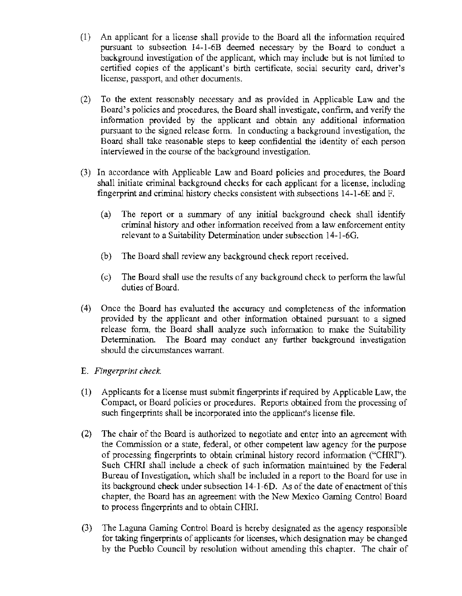- (1) An applicant for a license shall provide to the Board all the information required pursuant to subsection 14-1-6B deemed necessary by the Board to conduct a background investigation of the applicant, which may include but is not limited to certified copies of the applicant's birth certificate, social security card, driver's license, passport, and other documents.
- (2) To the extent reasonably necessary and as provided in Applicable Law and the Board's policies and procedures, the Board shall investigate, confirm, and verify the information provided by the applicant and obtain any additional information pursuant to the signed release form. In conducting a background investigation, the Board shall take reasonable steps to keep confidential the identity of each person interviewed in the course of the background investigation.
- (3) In accordance with Applicable Law and Board policies and procedures, the Board shall initiate criminal background checks for each applicant for a license, including fingerprint and criminal history checks consistent with subsections 14-1-6E and F.
	- (a) The report or a summary of any initial background check shall identify criminal history and other information received from a law enforcement entity relevant to a Suitability Determination under subsection 14-1-60.
	- (b) The Board shall review any background check report received.
	- ( c) The Board shall use the results of any background check to perfonn the lawful duties of Board.
- (4) Once the Board has evaluated the accuracy and completeness of the infonnation provided by the applicant and other information obtained pursuant to a signed release form, the Board shall analyze such information to make the Suitability Determination. The Board may conduct any further background investigation should the circumstances warrant.

# E. *Fingerprint check.*

- (1) Applicants for a license must submit fingerprints if required by Applicable Law, the Compact, or Board policies or procedures. Reports obtained from the processing of such fingerprints shall be incorporated into the applicant's license file.
- (2) The chair of the Board is authorized to negotiate and enter into an agreement with the Commission or a state, federal, or other competent law agency for the purpose of processing fingerprints to obtain criminal history record information ("CHRI"). Such CHRl shall include a check of such information maintained by the Federal Bureau of Investigation, which shall be included in a report to the Board for use in its background check under subsection 14-1-60. As of the date of enactment of this chapter, the Board has an agreement with the New Mexico Gaming Control Board to process fingerprints and to obtain CHRl.
- (3) The Laguna Gaming Control Board is hereby designated as the agency responsible for taking fingerprints of applicants for licenses, which designation may be changed by the Pueblo Council by resolution without amending this chapter. The chair of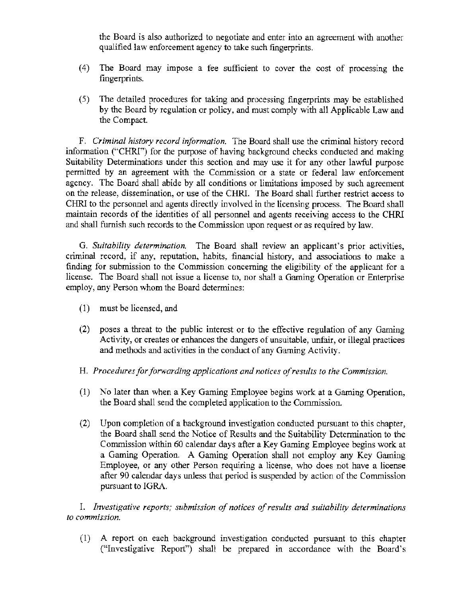the Board is also authorized to negotiate and enter into an agreement with another qualified law enforcement agency to take such fingerprints.

- (4) The Board may impose a fee sufficient to cover the cost of processing the fingerprints.
- (5) The detailed procedures for taking and processing fingerprints may be established by the Board by regulation or policy, and must comply with all Applicable Law and the Compact.

F. *Criminal history record information.* The Board shall use the criminal history record information ("CHRl") for the purpose of having background checks conducted and making Suitability Determinations under this section and may use it for any other lawful purpose pennitted by an agreement with the Commission or a state or federal law enforcement agency. The Board shall abide by all conditions or limitations imposed by such agreement on the release, dissemination, or use of the CHRL The Board shall further restrict access to CHRJ to the personnel and agents directly involved in the licensing process. The Board shall maintain records of the identities of all personnel and agents receiving access to the CHRI and shall furnish such records to the Commission upon request or as required by law.

G. *Suitability determination.* The Board shall review an applicant's prior activities, criminal record, if any, reputation, habits, financial history, and associations to make a finding for submission to the Commission concerning the eligibility of the applicant for a license. The Board shall not issue a license to, nor shall a Gaming Operation or Enterprise employ, any Person whom the Board detennines:

- (1) must be licensed, and
- (2) poses a threat to the public interest or to the effective regulation of any Gaming Activity, or creates or enhances the dangers of unsuitable, unfair, or illegal practices and methods and activities in the conduct of any Gaming Activity.
- H. *Procedures for forwarding applications and notices of results to the Commission.*
- (1) No later than when a Key Gaming Employee begins work at a Gaming Operation, the Board shall send the completed application to the Commission.
- (2) Upon completion of a background investigation conducted pursuant to this chapter, the Board shall send the Notice of Results and the Suitability Detennination to the Commission within 60 calendar days after a Key Gaming Employee begins work at a Gaming Operation. A Gaming Operation shall not employ any Key Gaming Employee, or any other Person requiring a license, who does not have a license after 90 calendar days unless that period is suspended by action of the Commission pursuant to IGRA.

I. *Investigative reports; submission of notices of results and suitability determinations to commission.* 

(1) A report on each background investigation conducted pursuant to this chapter ("Investigative Report") shall be prepared in accordance with the Board's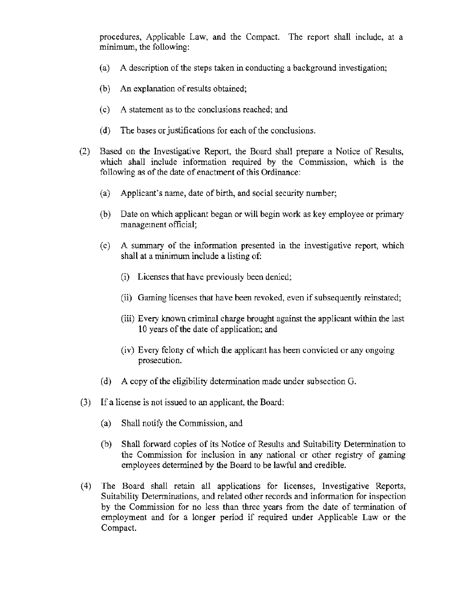procedures, Applicable Law, and the Compact. The report shall include, at a minimum, the following:

- (a) A description of the steps taken in conducting a background investigation;
- (b) An explanation of results obtained;
- (c) A statement as to the conclusions reached; and
- (d) The bases or justifications for each of the conclusions.
- (2) Based on the Investigative Report, the Board shall prepare a Notice of Results, which shall include information required by the Commission, which is the following as of the date of enactment of this Ordinance:
	- (a) Applicant's name, date of birth, and social security number;
	- (b) Date on which applicant began or will begin work as key employee or primary management official;
	- ( c) A summary of the information presented in the investigative report, which shall at a minimum include a listing of:
		- (i) Licenses that have previously been denied;
		- (ii) Gaming licenses that have been revoked, even if subsequently reinstated;
		- (iii) Every known criminal charge brought against the applicant within the last 10 years of the date of application; and
		- (iv) Every felony of which the applicant has been convicted or any ongoing prosecution.
	- (d) A copy of the eligibility determination made under subsection G.
- (3) If a license is not issued to an applicant, the Board:
	- (a) Shall notify the Commission, and
	- (b) Shall forward copies of its Notice of Results and Suitability Determination to the Commission for inclusion in any national or other registry of gaming employees determined by the Board to be lawful and credible.
- ( 4) The Board shall retain all applications for licenses, Investigative Reports, Suitability Determinations, and related other records and information for inspection by the Commission for no less than three years from the date of termination of employment and for a longer period if required under Applicable Law or the Compact.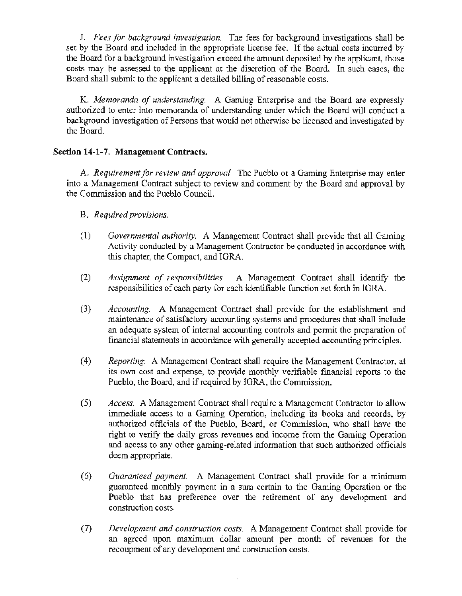J. *Fees for background investigation.* The fees for background investigations shall be set by the Board and included in the appropriate license fee. If the actual costs incurred by the Board for a background investigation exceed the amount deposited by the applicant, those costs may be assessed to the applicant at the discretion of the Board. In such cases, the Board shall submit to the applicant a detailed billing of reasonable costs.

K. *Memoranda of understanding.* A Gaming Enterprise and the Board are expressly authorized to enter into memoranda of understanding under which the Board will conduct a background investigation of Persons that would not otherwise be licensed and investigated by the Board.

# Section 14·1-7. Management Contracts.

A. *Requirement for review and approval.* The Pueblo or a Gaming Enterprise may enter into a Management Contract subject to review and comment by the Board and approval by the Commission and the Pueblo Council.

- B. *Required provisions.*
- (1) *Governmental authority.* A Management Contract shall provide that all Gaming Activity conducted by a Management Contractor be conducted in accordance with this chapter, the Compact, and IGRA.
- (2) *Assignment of responsibilities.* A Management Contract shall identify the responsibilities of each party for each identifiable function set forth in IGRA.
- (3) *Accounting.* A Management Contract shall provide for the establishment and maintenance of satisfactory accounting systems and procedures that shall include an adequate system of internal accounting controls and permit the preparation of financial statements in accordance with generally accepted accounting principles.
- ( 4) *Reporting.* A Management Contract shall require the Management Contractor, at its own cost and expense, to provide monthly verifiable fmancial reports to the Pueblo, the Board, and if required by IGRA, the Commission.
- (5) *Access.* A Management Contract shall require a Management Contractor to allow immediate access to a Gaming Operation, including its books and records, by authorized officials of the Pueblo, Board, or Commission, who shall have the right to verify the daily gross revenues and income from the Gaming Operation and access to any other gaming·related information that such authorized officials deem appropriate.
- ( 6) *Guaranteed payment.* A Management Contract shall provide for a minimum guaranteed monthly payment in a sum certain to the Gaming Operation or the Pueblo that has preference over the retirement of any development and construction costs.
- (7) *Development and construction costs.* A Management Contract shall provide for an agreed upon maximum dollar amount per month of revenues for the recoupment of any development and construction costs.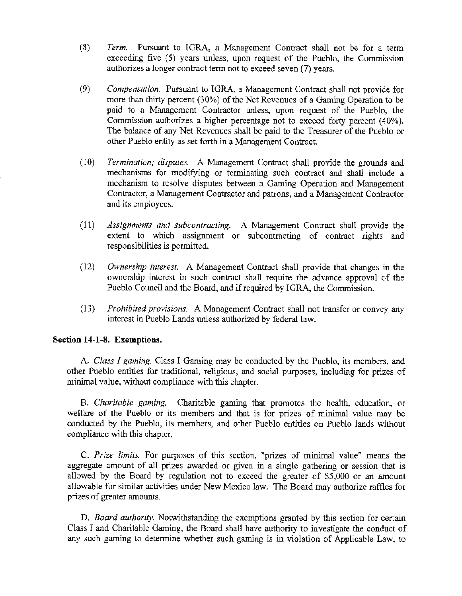- (8) *Term.* Pursuant to IGRA, a Management Contract shall not be for a term exceeding five (5) years unless, upon request of the Pueblo, the Commission authorizes a longer contract term not to exceed seven (7) years.
- (9) *Compensation.* Pursuant to IGRA, a Management Contract shall not provide for more than thirty percent (30%) of the Net Revenues of a Gaming Operation to be paid to a Management Contractor unless, upon request of the Pueblo, the Commission authorizes a higher percentage not to exceed forty percent (40%). The balance of any Net Revenues shall be paid to the Treasurer of the Pueblo or other Pueblo entity as set forth in a Management Contract.
- ( l 0) *Termination; disputes.* A Management Contract shall provide the grounds and mechanisms for modifying or terminating such contract and shall include a mechanism to resolve disputes between a Gaming Operation and Management Contractor, a Management Contractor and patrons, and a Management Contractor and its employees.
- (11) *Assignments and subcontracting.* A Management Contract shall provide the extent to which assignment or subcontracting of contract rights and responsibilities is permitted.
- (12) *Ownership interest.* A Management Contract shall provide that changes in the ownership interest in such contract shall require the advance approval of the Pueblo Council and the Board, and if required by IGRA, the Commission.
- (13) *Prohibited provisions.* A Management Contract shall not transfer or convey any interest in Pueblo Lands unless authorized by federal law.

## Section **14-1-8.** Exemptions.

A. *Class* I *gaming.* Class I Gaming may be conducted by the Pueblo, its members, and other Pueblo entities for traditional, religious, and social purposes, including for prizes of minimal value, without compliance with this chapter.

B. *Charitable gaming.* Charitable gaming that promotes the health, education, or welfare of the Pueblo or its members and that is for prizes of minimal value may be conducted by the Pueblo, its members, and other Pueblo entities on Pueblo lands without compliance with this chapter.

C. *Prize limits.* For purposes of this section, "prizes of minimal value" means the aggregate amount of all prizes awarded or given in a single gathering or session that is allowed by the Board by regulation not to exceed the greater of \$5,000 or an amount allowable for similar activities under New Mexico law. The Board may authorize raffles for prizes of greater amounts.

D. *Board authority.* Notwithstanding the exemptions granted by this section for certain Class I and Charitable Gaming. the Board shall have authority to investigate the conduct of any such gaming to detennine whether such gaming is in violation of Applicable Law, to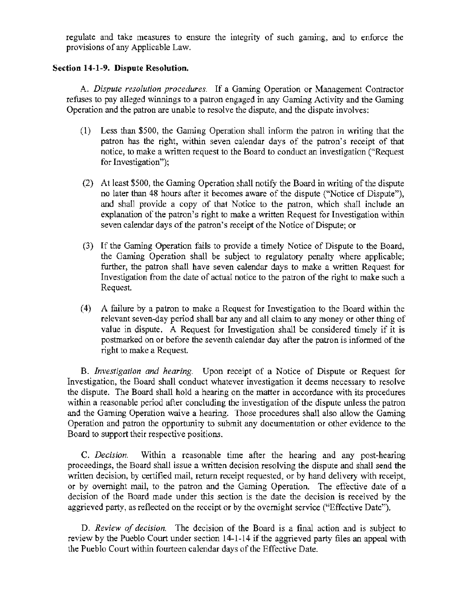regulate and take measures to ensure the integrity of such gaming, and to enforce the provisions of any Applicable Law.

# Section **14-1-9.** Dispute Resolution.

A. *Dispute resolution procedures.* If a Gaming Operation or Management Contractor refuses to pay alleged winnings to a patron engaged in any Gaming Activity and the Gaming Operation and the patron are unable to resolve the dispute, and the dispute involves:

- (1) Less than \$500, the Gaming Operation shall inform the patron in writing that the patron has the right, within seven calendar days of the patron's receipt of that notice, to make a written request to the Board to conduct an investigation ("Request for Investigation");
- (2) At least \$500, the Gaming Operation shall notify the Board in writing of the dispute no later than 48 hours after it becomes aware of the dispute ("Notice of Dispute"), and shall provide a copy of that Notice to the patron, which shall include an explanation of the patron's right to make a written Request for Investigation within seven calendar days of the patron's receipt of the Notice of Dispute; or
- (3) If the Gaming Operation fails to provide a timely Notice of Dispute to the Board, the Gaming Operation shall be subject to regulatory penalty where applicable; further, the patron shall have seven calendar days to make a written Request for Investigation from the date of actual notice to the patron of the right to make such a Request.
- ( 4) A failure by a patron to make a Request for Investigation to the Board within the relevant seven-day period shall bar any and all claim to any money or other thing of value in dispute. A Request for Investigation shall be considered timely if it is postmarked on or before the seventh calendar day after the patron is informed of the right to make a Request.

B. *Investigation and hearing.* Upon receipt of a Notice of Dispute or Request for Investigation, the Board shall conduct whatever investigation it deems necessary to resolve the dispute. The Board shall hold a hearing on the matter in accordance with its procedures within a reasonable period after concluding the investigation of the dispute unless the patron and the Gaming Operation waive a hearing. Those procedures shall also allow the Gaming Operation and patron the opportunity to submit any documentation or other evidence to the Board to support their respective positions.

C. *Decision.* Within a reasonable time after the hearing and any post-hearing proceedings, the Board shall issue a written decision resolving the dispute and shall send the written decision, by certified mail, return receipt requested, or by hand delivery with receipt, or by overnight mail, to the patron and the Gaming Operation. The effective date of a decision of the Board made under this section is the date the decision is received by the aggrieved party, as reflected on the receipt or by the overnight service ("Effective Date").

D. *Review of decision.* The decision of the Board is a final action and is subject to review by the Pueblo Court under section 14-1-14 if the aggrieved party files an appeal with the Pueblo Court within fourteen calendar days of the Effective Date.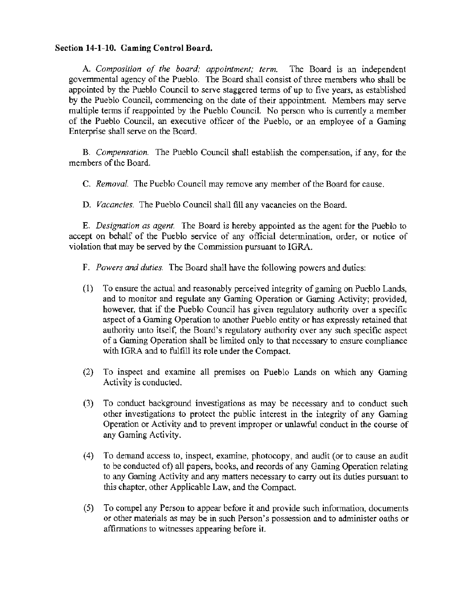### Section **14-1-10.** Gaming Control Board.

A. *Composition of the board; appointment; term.* The Board is an independent governmental agency of the Pueblo. The Board shall consist of three members who shall be appointed by the Pueblo Council to serve staggered terms of up to five years, as established by the Pueblo Council, commencing on the date of their appointment. Members may serve multiple terms if reappointed by the Pueblo Council. No person who is currently a member of the Pueblo Council, an executive officer of the Pueblo, or an employee of a Gaming Enterprise shall serve on the Board.

B. *Compensation..* The Pueblo Council shall establish the compensation, if any, for the members of the Board.

C. *Removal.* The Pueblo Council may remove any member of the Board for cause.

D. *Vacancies.* The Pueblo Council shall fill any vacancies on the Board.

E. *Designation as agent.* The Board is hereby appointed as the agent for the Pueblo to accept on behalf of the Pueblo service of any official determination, order, or notice of violation that may be served by the Conunission pursuant to IGRA.

F. *Powers and duties.* The Board shall have the following powers and duties:

- (1) To ensure the actual and reasonably perceived integrity of gaming on Pueblo Lands, and to monitor and regulate any Gaming Operation or Gaming Activity; provided, however, that if the Pueblo Council has given regulatory authority over a specific aspect of a Gaming Operation to another Pueblo entity or has expressly retained that authority unto itself, the Board's regulatory authority over any such specific aspect of a Gaming Operation shall be limited only to that necessary to ensure compliance with IGRA and to fulfill its role under the Compact.
- (2) To inspect and examine all premises on Pueblo Lands on which any Gaming Activity is conducted.
- (3) To conduct background investigations as may be necessary and to conduct such other investigations to protect the public interest in the integrity of any Gaming Operation or Activity and to prevent improper or unlawful conduct in the course of any Gaming Activity.
- (4) To demand access to, inspect, examine, photocopy, and audit (or to cause an audit to be conducted of) all papers, books, and records of any Gaming Operation relating to any Gaming Activity and any matters necessary to carry out its duties pursuant to this chapter, other Applicable Law, and the Compact.
- (5) To compel any Person to appear before it and provide such information, documents or other materials as may be in such Person's possession and to administer oaths or affirmations to witnesses appearing before it.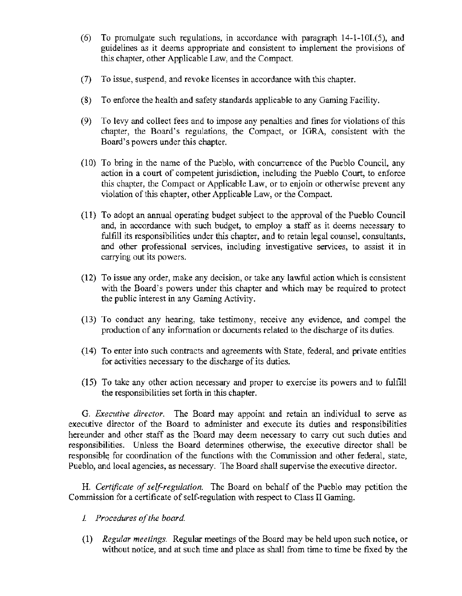- (6) To promulgate such regulations, in accordance with paragraph 14-1-101.(5), and guidelines as it deems appropriate and consistent to implement the provisions of this chapter, other Applicable Law, and the Compact.
- (7) To issue, suspend, and revoke licenses in accordance with this chapter.
- (8) To enforce the health and safety standards applicable to any Gaming Facility.
- (9) To levy and collect fees and to impose any penalties and fines for violations of this chapter, the Board's regulations, the Compact, or IGRA, consistent with the Board's powers under this chapter.
- ( 10) To bring in the name of the Pueblo, with concurrence of the Pueblo Council, any action in a court of competent jurisdiction, including the Pueblo Court, to enforce this chapter, the Compact or Applicable Law, or to enjoin or otherwise prevent any violation of this chapter, other Applicable Law, or the Compact.
- $(11)$  To adopt an annual operating budget subject to the approval of the Pueblo Council and, in accordance with such budget, to employ a staff as it deems necessary to fulfill its responsibilities under this chapter, and to retain legal counsel, consultants, and other professional services, including investigative services, to assist it in carrying out its powers.
- (12) To issue any order, make any decision, or take any lawful action which is consistent with the Board's powers under this chapter and which may be required to protect the public interest in any Gaming Activity.
- (13) To conduct any hearing, take testimony, receive any evidence, and compel the production of any information or documents related to the discharge of its duties.
- (14) To enter into such contracts and agreements with State, federal, and private entities for activities necessary to the discharge of its duties.
- (15) To take any other action necessary and proper to exercise its powers and to fulfill the responsibilities set forth in this chapter.

G. *Executive director.* The Board may appoint and retain an individual to serve as executive director of the Board to administer and execute its duties and responsibilities hereunder and other staff as the Board may deem necessary to carry out such duties and responsibilities. Unless the Board detennines otherwise, the executive director shall be responsible for coordination of the functions with the Commission and other federal, state, Pueblo, and local agencies, as necessary. The Board shall supervise the executive director.

H. *Certificate of self-regulation.* The Board on behalf of the Pueblo may petition the Commission for a certificate of self-regulation with respect to Class II Gaming.

- *1 Procedures of the board*
- (1) *Regular meetings.* Regular meetings of the Board may be held upon such notice, or without notice, and at such time and place as shall from time to time be fixed by the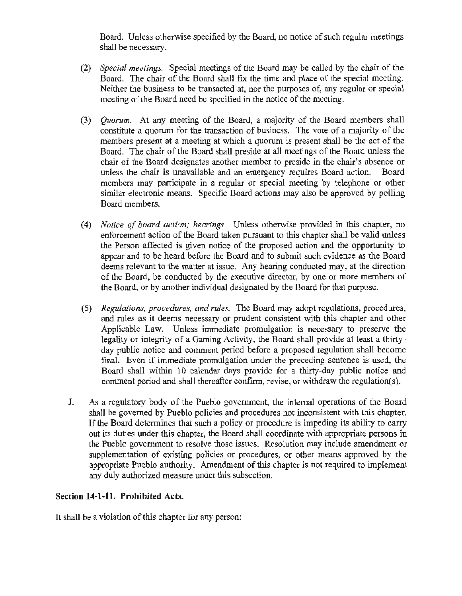Board. Unless otherwise specified by the Board, no notice of such regular meetings shall be necessary.

- (2) *Special meetings.* Special meetings of the Board may be called by the chair of the Board. The chair of the Board shall fix the time and place of the special meeting. Neither the business to be transacted at, nor the purposes of, any regular or special meeting of the Board need be specified in the notice of the meeting.
- (3) *Quorum.* At any meeting of the Board, a majority of the Board members shall constitute a quorum for the transaction of business. The vote of a majority of the members present at a meeting at which a quorum is present shall be the act of the Board. The chair of the Board shall preside at all meetings of the Board unless the chair of the Board designates another member to preside in the chair's absence or<br>unless the chair is unavailable and an emergency requires Board action. Board unless the chair is unavailable and an emergency requires Board action. members may participate in a regular or special meeting by telephone or other similar electronic means. Specific Board actions may also be approved by polling Board members.
- (4) *Notice of board action; hearings.* Unless otherwise provided in this chapter, no enforcement action of the Board taken pursuant to this chapter shall be valid unless the Person affected is given notice of the proposed action and the opportunity to appear and to be heard before the Board and to submit such evidence as the Board deems relevant to the matter at issue. Any hearing conducted may, at the direction of the Board, be conducted by the executive director, by one or more members of the Board, or by another individual designated by the Board for that purpose.
- (5) *Regulations, procedures, and rules.* The Board may adopt regulations, procedures, and rules as it deems necessary or prudent consistent with this chapter and other Applicable Law. Unless immediate promulgation is necessary to preserve the legality or integrity of a Gaming Activity, the Board shall provide at least a thirtyday public notice and comment period before a proposed regulation shall become final. Even if inunediate promulgation under the preceding sentence is used, the Board shall within 10 calendar days provide for a thirty-day public notice and comment period and shall thereafter confirm, revise, or withdraw the regulation(s).
- J. As a regulatory body of the Pueblo government, the internal operations of the Board shall be governed by Pueblo policies and procedures not inconsistent with this chapter. If the Board determines that such a policy or procedure is impeding its ability to carry out its duties wider this chapter, the Board shall coordinate with appropriate persons in the Pueblo government to resolve those issues. Resolution may include amendment or supplementation of existing policies or procedures, or other means approved by the appropriate Pueblo authority. Amendment of this chapter is not required to implement any duly authorized measure under this subsection.

# Section 14-1-11. Prohibited Acts.

It shall be a violation of this chapter for any person: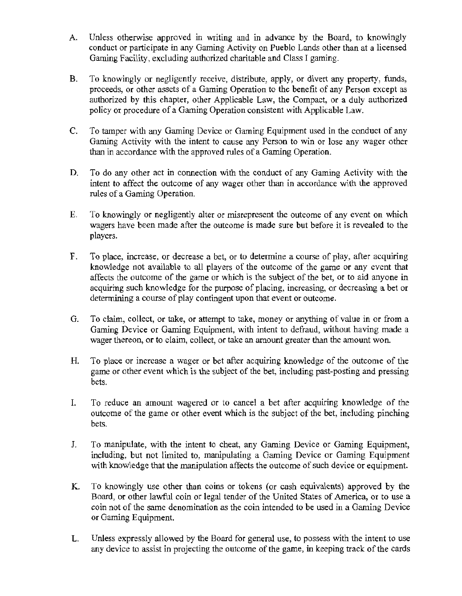- A. Unless otherwise approved in writing and in advance by the Board, to knowingly conduct or participate in any Gaming Activity on Pueblo Lands other than at a licensed Gaming Facility, excluding authorized charitable and Class I gaming.
- B. To knowingly or negligently receive, distribute, apply, or divert any property, funds, proceeds, or other assets of a Gaming Operation to the benefit of any Person except as authorized by this chapter, other Applicable Law, the Compact, or a duly authorized policy or procedure of a Gaming Operation consistent with Applicable Law.
- C. To tamper with any Gaming Device or Gaming Equipment used in the conduct of any Gaming Activity with the intent to cause any Person to win or lose any wager other than in accordance with the approved rules of a Gaming Operation.
- D. To do any other act in connection with the conduct of any Gaming Activity with the intent to affect the outcome of any wager other than in accordance with the approved rules of a Gaming Operation.
- E. To knowingly or negligently alter or misrepresent the outcome of any event on which wagers have been made after the outcome is made sure but before it is revealed to the players.
- F. To place, increase, or decrease a bet, or to determine a course of play, after acquiring knowledge not available to all players of the outcome of the game or any event that affects the outcome of the game or which is the subject of the bet, or to aid anyone in acquiring such knowledge for the purpose of placing, increasing, or decreasing a bet or determining a course of play contingent upon that event or outcome.
- G. To claim, collect, or take, or attempt to take, money or anything of value in or from a Gaming Device or Gaming Equipment, with intent to defraud, without having made a wager thereon, or to claim, collect, or take an amount greater than the amount won.
- H. To place or increase a wager or bet after acquiring knowledge of the outcome of the game or other event which is the subject of the bet, including past-posting and pressing bets.
- I. To reduce an amount wagered or to cancel a bet after acquiring knowledge of the outcome of the game or other event which is the subject of the bet, including pinching bets.
- J. To manipulate, with the intent to cheat, any Gaming Device or Gaming Equipment, including, but not limited to, manipulating a Gaming Device or Gaming Equipment with knowledge that the manipulation affects the outcome of such device or equipment.
- K. To knowingly use other than coins or tokens (or cash equivalents) approved by the Board, or other lawful coin or legal tender of the United States of America, or to use a coin not of the same denomination as the coin intended to be used in a Gaming Device or Gaming Equipment.
- L. Unless expressly allowed by the Board for general use, to possess with the intent to use any device to assist in projecting the outcome of the game, in keeping track of the cards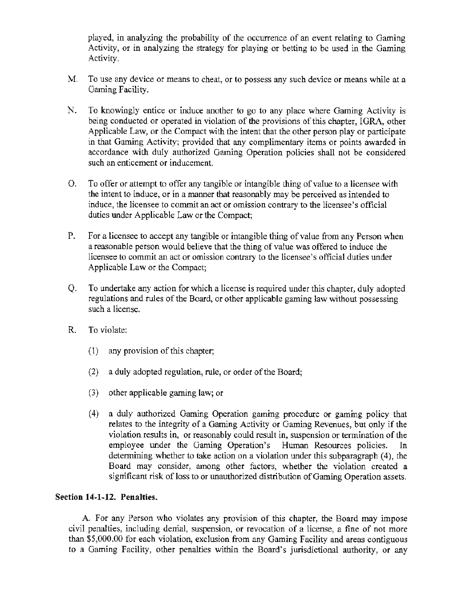played, in analyzing the probability of the occurrence of an event relating to Gaming Activity. or in analyzing the strategy for playing or betting to be used in the Gaming Activity.

- M. To use any device or means to cheat, or to possess any such device or means while at a Gaming Facility.
- N. To knowingly entice or induce another to go to any place where Gaming Activity is being conducted or operated in violation of the provisions of this chapter, IGRA, other Applicable Law, or the Compact with the intent that the other person play or participate in that Gaming Activity; provided that any complimentary items or points awarded in accordance with duly authorized Gaming Operation policies shall not be considered such an enticement or inducement.
- 0. To offer or attempt to offer any tangible or intangible thing of value to a licensee with the intent to induce, or in a manner that reasonably may be perceived as intended to induce, the licensee to commit an act or omission contrary to the licensee's official duties under Applicable Law or the Compact;
- P. For a licensee to accept any tangible or intangible thing of value from any Person when a reasonable person would believe that the thing of value was offered to induce the licensee to commit an act or omission contrary to the licensee's official duties under Applicable Law or the Compact;
- Q. To undertake any action for which a license is required under this chapter, duly adopted regulations and rules of the Board, or other applicable gaming law without possessing such a license.
- R.. To violate:
	- (1) any provision of this chapter;
	- (2) a duly adopted regulation, rule, or order of the Board;
	- (3) other applicable gaming law; or
	- (4) a duly authorized Gaming Operation gaming procedure or gaming policy that relates to the integrity of a Gaming Activity or Gaming Revenues, but only if the violation results in, or reasonably could result in, suspension or termination of the employee under the Gaming Operation's Human Resources policies. In determining whether to take action on a violation under this subparagraph (4), the Board may consider, among other factors, whether the violation created a significant risk of loss to or unauthorized distribution of Gaming Operation assets.

## Section 14·1-12. Penalties.

A. For any Person who violates any provision of this chapter, the Board may impose civil penalties, including denial, suspension, or revocation of a license, a fine of not more than \$5,000.00 for each violation, exclusion from any Gaming Facility and areas contiguous to a Gaming Facility, other penalties within the Board's jurisdictional authority, or any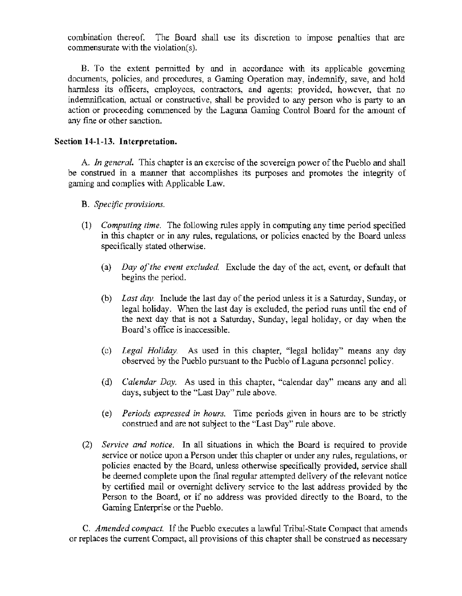combination thereof. The Board shall use its discretion to impose penalties that are commensurate with the violation(s).

B. To the extent permitted by and in accordance with its applicable governing documents, policies, and procedures, a Gaming Operation may, indemnify, save, and hold harmless its officers, employees, contractors, and agents; provided, however, that no indemnification, actual or constructive, shall be provided to any person who is party to an action or proceeding commenced by the Laguna Gaming Control Board for the amount of any fine or other sanction.

# Section 14-1-13. Interpretation.

A. *In general.* This chapter is an exercise of the sovereign power of the Pueblo and shall be construed in a manner that accomplishes its purposes and promotes the integrity of gaming and complies with Applicable Law.

- B. *Specific provisions.*
- (1) *Computing time.* The following rules apply in computing any time period specified in this chapter or in any rules, regulations, or policies enacted by the Board unless specifically stated otherwise.
	- (a) *Day of the event excluded* Exclude the day of the act, event, or default that begins the period.
	- (b) *Last day.* Include the last day of the period unless it is a Saturday, Sunday, or legal holiday. When the last day is excluded, the period runs until the end of the next day that is not a Saturday, Sunday, legal holiday, or day when the Board's office is inaccessible.
	- (c) *Legal Holiday.* As used in this chapter, "legal holiday" means any day observed by the Pueblo pursuant to the Pueblo of Laguna personnel policy.
	- (d) *Calendar Day.* As used in this chapter, "calendar day" means any and all days, subject to the "Last Day" rule above.
	- (e) *Periods expressed in hours.* Time periods given in hours are to be strictly construed and are not subject to the "Last Day" rule above.
- (2) *Service and notice.* In all situations in which the Board is required to provide service or notice upon a Person under this chapter or under any rules, regulations, or policies enacted by the Board, unless otherwise specifically provided, service shall be deemed complete upon the final regular attempted delivery of the relevant notice by certified mail or overnight delivery service to the last address provided by the Person to the Board, or if no address was provided directly to the Board, to the Gaming Enterprise or the Pueblo.

C. *Amended compact.* If the Pueblo executes a lawful Tribal-State Compact that amends or replaces the current Compact, all provisions of this chapter shall be construed as necessary